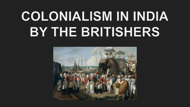## COLONIALISM IN INDIA BY THE BRITISHERS

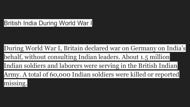## **British India During World War I**

During [World War I,](https://www.thoughtco.com/world-war-i-introduction-1222118) Britain declared war on Germany on India's

behalf, without consulting Indian leaders. About 1.5 million

Indian soldiers and laborers were serving in the British Indian

Army. A total of 60,000 Indian soldiers were killed or reported

## missing.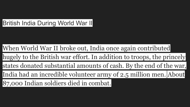## British India During World War II

When [World War II](https://www.thoughtco.com/world-war-ii-in-asia-195787) broke out, India once again contributed hugely to the British war effort. In addition to troops, the princely states donated substantial amounts of cash. By the end of the war, India had an incredible volunteer army of 2.5 million men. About 87,000 Indian soldiers died in combat.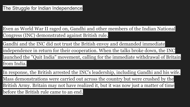Even as [World War II](https://www.thoughtco.com/world-war-ii-overview-2361501) raged on, Gandhi and other members of the Indian National Congress (INC) demonstrated against British rule.

Gandhi and the INC did not trust the British envoy and demanded immediate

independence in return for their cooperation. When the talks broke down, the INC

launched the "Quit India" movement, calling for the immediate withdrawal of Britain from India.

In response, the British arrested the INC's leadership, including Gandhi and his wife. Mass demonstrations were carried out across the country but were crushed by the British Army. Britain may not have realized it, but it was now just a matter of time before the British rule came to an end.